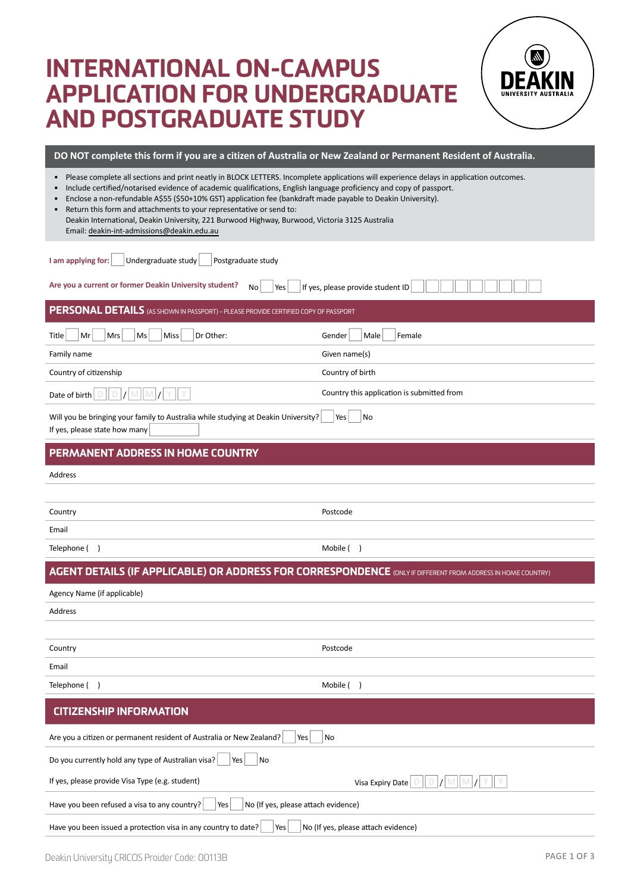# International on-campus application for undergraduate and postgraduate study



| DO NOT complete this form if you are a citizen of Australia or New Zealand or Permanent Resident of Australia.                                                                                                                                                                                                                                                                                                                                                                                                                                                                                                     |                                            |  |  |
|--------------------------------------------------------------------------------------------------------------------------------------------------------------------------------------------------------------------------------------------------------------------------------------------------------------------------------------------------------------------------------------------------------------------------------------------------------------------------------------------------------------------------------------------------------------------------------------------------------------------|--------------------------------------------|--|--|
| Please complete all sections and print neatly in BLOCK LETTERS. Incomplete applications will experience delays in application outcomes.<br>$\bullet$<br>Include certified/notarised evidence of academic qualifications, English language proficiency and copy of passport.<br>Enclose a non-refundable A\$55 (\$50+10% GST) application fee (bankdraft made payable to Deakin University).<br>Return this form and attachments to your representative or send to:<br>Deakin International, Deakin University, 221 Burwood Highway, Burwood, Victoria 3125 Australia<br>Email: deakin-int-admissions@deakin.edu.au |                                            |  |  |
| Undergraduate study<br>I am applying for:<br>Postgraduate study                                                                                                                                                                                                                                                                                                                                                                                                                                                                                                                                                    |                                            |  |  |
| Are you a current or former Deakin University student?<br>No<br>Yes                                                                                                                                                                                                                                                                                                                                                                                                                                                                                                                                                | If yes, please provide student ID          |  |  |
| PERSONAL DETAILS (AS SHOWN IN PASSPORT) - PLEASE PROVIDE CERTIFIED COPY OF PASSPORT                                                                                                                                                                                                                                                                                                                                                                                                                                                                                                                                |                                            |  |  |
| Mr<br>Mrs<br>Ms<br><b>Miss</b><br>Dr Other:<br>Title                                                                                                                                                                                                                                                                                                                                                                                                                                                                                                                                                               | Male<br>Female<br>Gender                   |  |  |
| Family name                                                                                                                                                                                                                                                                                                                                                                                                                                                                                                                                                                                                        | Given name(s)                              |  |  |
| Country of citizenship                                                                                                                                                                                                                                                                                                                                                                                                                                                                                                                                                                                             | Country of birth                           |  |  |
|                                                                                                                                                                                                                                                                                                                                                                                                                                                                                                                                                                                                                    | Country this application is submitted from |  |  |
| Will you be bringing your family to Australia while studying at Deakin University?<br>If yes, please state how many                                                                                                                                                                                                                                                                                                                                                                                                                                                                                                | Yes<br>No                                  |  |  |
| PERMANENT ADDRESS IN HOME COUNTRY                                                                                                                                                                                                                                                                                                                                                                                                                                                                                                                                                                                  |                                            |  |  |
| Address                                                                                                                                                                                                                                                                                                                                                                                                                                                                                                                                                                                                            |                                            |  |  |
|                                                                                                                                                                                                                                                                                                                                                                                                                                                                                                                                                                                                                    |                                            |  |  |
| Country                                                                                                                                                                                                                                                                                                                                                                                                                                                                                                                                                                                                            | Postcode                                   |  |  |
| Email                                                                                                                                                                                                                                                                                                                                                                                                                                                                                                                                                                                                              |                                            |  |  |
| Telephone ()                                                                                                                                                                                                                                                                                                                                                                                                                                                                                                                                                                                                       | Mobile ()                                  |  |  |
| <b>AGENT DETAILS (IF APPLICABLE) OR ADDRESS FOR CORRESPONDENCE (ONLY IF DIFFERENT FROM ADDRESS IN HOME COUNTRY)</b>                                                                                                                                                                                                                                                                                                                                                                                                                                                                                                |                                            |  |  |
| Agency Name (if applicable)                                                                                                                                                                                                                                                                                                                                                                                                                                                                                                                                                                                        |                                            |  |  |
| Address                                                                                                                                                                                                                                                                                                                                                                                                                                                                                                                                                                                                            |                                            |  |  |
|                                                                                                                                                                                                                                                                                                                                                                                                                                                                                                                                                                                                                    |                                            |  |  |
| Country                                                                                                                                                                                                                                                                                                                                                                                                                                                                                                                                                                                                            | Postcode                                   |  |  |
| Email                                                                                                                                                                                                                                                                                                                                                                                                                                                                                                                                                                                                              |                                            |  |  |
| Telephone ()                                                                                                                                                                                                                                                                                                                                                                                                                                                                                                                                                                                                       | Mobile ()                                  |  |  |
| <b>CITIZENSHIP INFORMATION</b>                                                                                                                                                                                                                                                                                                                                                                                                                                                                                                                                                                                     |                                            |  |  |
| Are you a citizen or permanent resident of Australia or New Zealand?<br>Yes                                                                                                                                                                                                                                                                                                                                                                                                                                                                                                                                        | No                                         |  |  |
| Do you currently hold any type of Australian visa?<br>No<br>Yes                                                                                                                                                                                                                                                                                                                                                                                                                                                                                                                                                    |                                            |  |  |
| If yes, please provide Visa Type (e.g. student)                                                                                                                                                                                                                                                                                                                                                                                                                                                                                                                                                                    | Visa Expiry Date<br>Ð<br>D                 |  |  |
| No (If yes, please attach evidence)<br>Have you been refused a visa to any country?<br>Yes                                                                                                                                                                                                                                                                                                                                                                                                                                                                                                                         |                                            |  |  |

Have you been issued a protection visa in any country to date?  $\vert$  Yes  $\vert$  No (If yes, please attach evidence)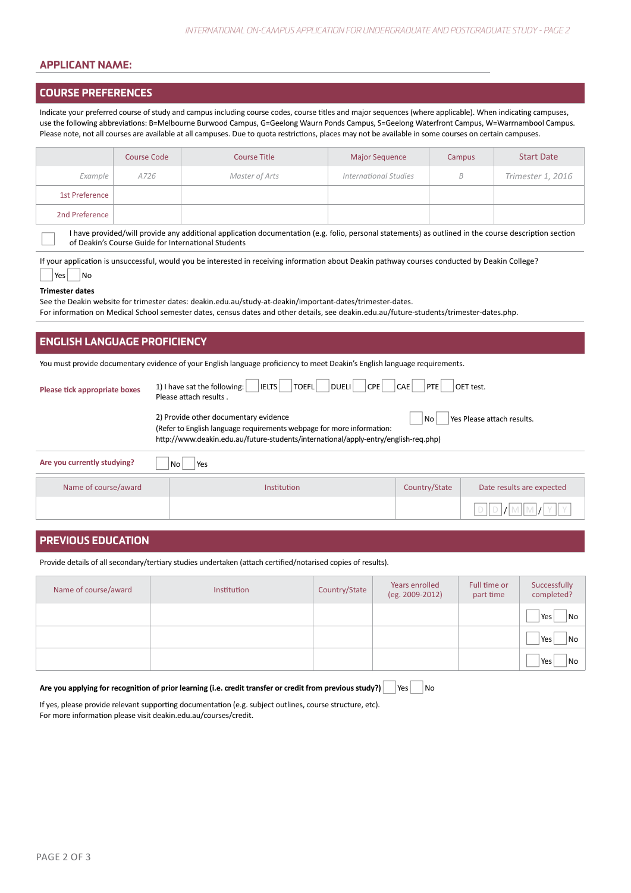# applicant name:

#### Course preferences

Indicate your preferred course of study and campus including course codes, course titles and major sequences (where applicable). When indicating campuses, use the following abbreviations: B=Melbourne Burwood Campus, G=Geelong Waurn Ponds Campus, S=Geelong Waterfront Campus, W=Warrnambool Campus. Please note, not all courses are available at all campuses. Due to quota restrictions, places may not be available in some courses on certain campuses.

|                | Course Code | <b>Course Title</b> | <b>Major Sequence</b>        | <b>Campus</b> | <b>Start Date</b> |
|----------------|-------------|---------------------|------------------------------|---------------|-------------------|
| Example        | A726        | Master of Arts      | <b>International Studies</b> | B             | Trimester 1, 2016 |
| 1st Preference |             |                     |                              |               |                   |
| 2nd Preference |             |                     |                              |               |                   |

I have provided/will provide any additional application documentation (e.g. folio, personal statements) as outlined in the course description section of Deakin's Course Guide for International Students

If your application is unsuccessful, would you be interested in receiving information about Deakin pathway courses conducted by Deakin College?  $|Yes|$   $|No$ 

# **Trimester dates**

See the Deakin website for trimester dates: deakin.edu.au/study-at-deakin/important-dates/trimester-dates. For information on Medical School semester dates, census dates and other details, see deakin.edu.au/future-students/trimester-dates.php.

# English language proficiency

You must provide documentary evidence of your English language proficiency to meet Deakin's English language requirements.

| Please tick appropriate boxes | 1) I have sat the following:<br><b>IELTS</b><br>TOEFL<br>DUELI<br>CPE<br>Please attach results.                                                                                                       | CAE<br><b>PTE</b> | OET test.                  |
|-------------------------------|-------------------------------------------------------------------------------------------------------------------------------------------------------------------------------------------------------|-------------------|----------------------------|
|                               | 2) Provide other documentary evidence<br>(Refer to English language requirements webpage for more information:<br>http://www.deakin.edu.au/future-students/international/apply-entry/english-reg.php) | No                | Yes Please attach results. |
| Are you currently studying?   | Yes<br>No                                                                                                                                                                                             |                   |                            |
| Name of course/award          | Institution                                                                                                                                                                                           | Country/State     | Date results are expected  |

 $D || D || / M || M || / Y || Y$ 

# PREVIOUS EDUCATION

Provide details of all secondary/tertiary studies undertaken (attach certified/notarised copies of results).

| Name of course/award | Institution | Country/State | Years enrolled<br>(eg. 2009-2012) | Full time or<br>part time | Successfully<br>completed? |
|----------------------|-------------|---------------|-----------------------------------|---------------------------|----------------------------|
|                      |             |               |                                   |                           | Yes<br>No                  |
|                      |             |               |                                   |                           | Yes<br>No                  |
|                      |             |               |                                   |                           | Yes<br>No                  |

# Are you applying for recognition of prior learning (i.e. credit transfer or credit from previous study?)  $\forall$ es  $\forall$ No

If yes, please provide relevant supporting documentation (e.g. subject outlines, course structure, etc). For more information please visit deakin.edu.au/courses/credit.